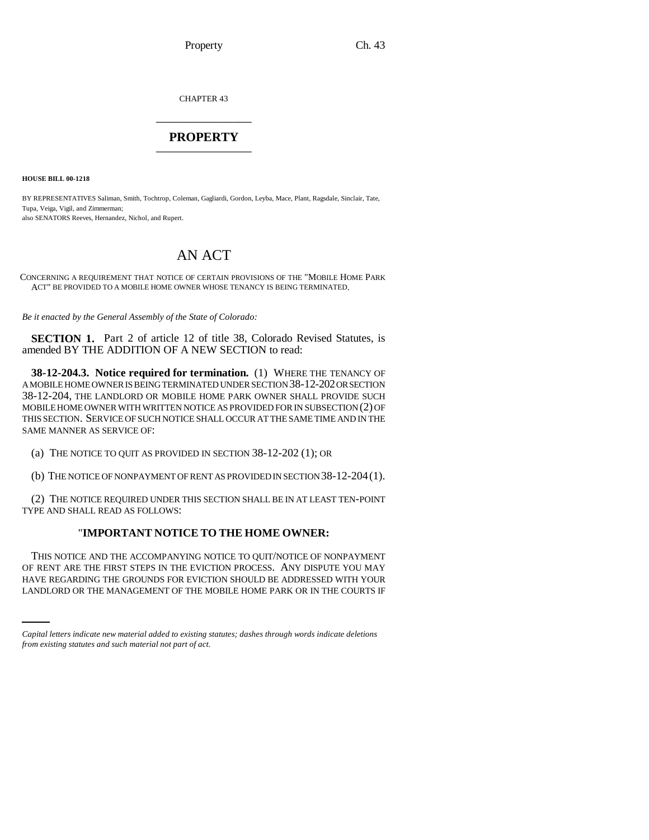CHAPTER 43 \_\_\_\_\_\_\_\_\_\_\_\_\_\_\_

## **PROPERTY** \_\_\_\_\_\_\_\_\_\_\_\_\_\_\_

**HOUSE BILL 00-1218** 

BY REPRESENTATIVES Saliman, Smith, Tochtrop, Coleman, Gagliardi, Gordon, Leyba, Mace, Plant, Ragsdale, Sinclair, Tate, Tupa, Veiga, Vigil, and Zimmerman; also SENATORS Reeves, Hernandez, Nichol, and Rupert.

# AN ACT

CONCERNING A REQUIREMENT THAT NOTICE OF CERTAIN PROVISIONS OF THE "MOBILE HOME PARK ACT" BE PROVIDED TO A MOBILE HOME OWNER WHOSE TENANCY IS BEING TERMINATED.

*Be it enacted by the General Assembly of the State of Colorado:*

**SECTION 1.** Part 2 of article 12 of title 38, Colorado Revised Statutes, is amended BY THE ADDITION OF A NEW SECTION to read:

**38-12-204.3. Notice required for termination.** (1) WHERE THE TENANCY OF A MOBILE HOME OWNER IS BEING TERMINATED UNDER SECTION 38-12-202 OR SECTION 38-12-204, THE LANDLORD OR MOBILE HOME PARK OWNER SHALL PROVIDE SUCH MOBILE HOME OWNER WITH WRITTEN NOTICE AS PROVIDED FOR IN SUBSECTION (2) OF THIS SECTION. SERVICE OF SUCH NOTICE SHALL OCCUR AT THE SAME TIME AND IN THE SAME MANNER AS SERVICE OF:

(a) THE NOTICE TO QUIT AS PROVIDED IN SECTION 38-12-202 (1); OR

(b) THE NOTICE OF NONPAYMENT OF RENT AS PROVIDED IN SECTION 38-12-204(1).

(2) THE NOTICE REQUIRED UNDER THIS SECTION SHALL BE IN AT LEAST TEN-POINT TYPE AND SHALL READ AS FOLLOWS:

### "**IMPORTANT NOTICE TO THE HOME OWNER:**

OF RENT ARE THE FIRST STEPS IN THE EVICTION PROCESS. ANY DISPUTE YOU MAY THIS NOTICE AND THE ACCOMPANYING NOTICE TO QUIT/NOTICE OF NONPAYMENT HAVE REGARDING THE GROUNDS FOR EVICTION SHOULD BE ADDRESSED WITH YOUR LANDLORD OR THE MANAGEMENT OF THE MOBILE HOME PARK OR IN THE COURTS IF

*Capital letters indicate new material added to existing statutes; dashes through words indicate deletions from existing statutes and such material not part of act.*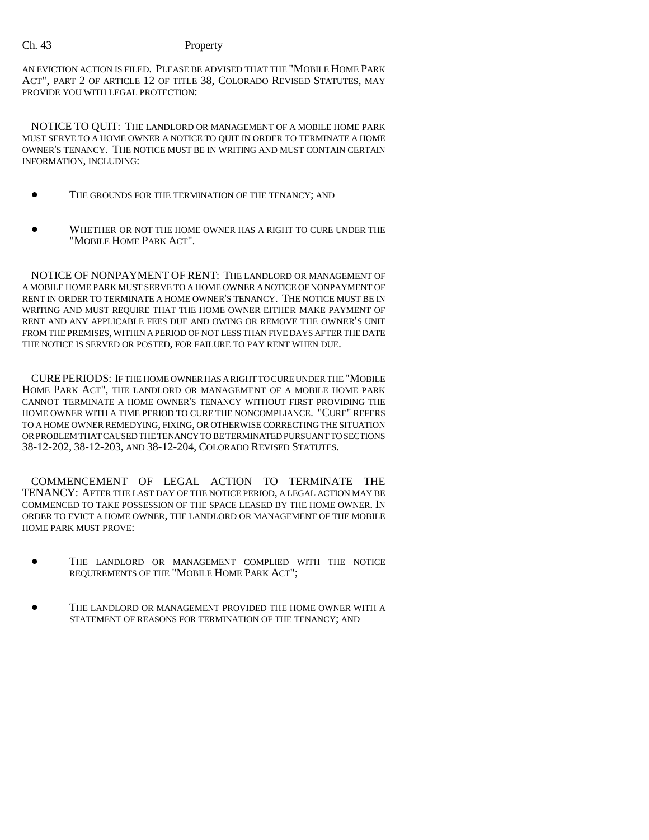#### Ch. 43 Property

AN EVICTION ACTION IS FILED. PLEASE BE ADVISED THAT THE "MOBILE HOME PARK ACT", PART 2 OF ARTICLE 12 OF TITLE 38, COLORADO REVISED STATUTES, MAY PROVIDE YOU WITH LEGAL PROTECTION:

NOTICE TO QUIT: THE LANDLORD OR MANAGEMENT OF A MOBILE HOME PARK MUST SERVE TO A HOME OWNER A NOTICE TO QUIT IN ORDER TO TERMINATE A HOME OWNER'S TENANCY. THE NOTICE MUST BE IN WRITING AND MUST CONTAIN CERTAIN INFORMATION, INCLUDING:

- $\bullet$ THE GROUNDS FOR THE TERMINATION OF THE TENANCY; AND
- $\bullet$  WHETHER OR NOT THE HOME OWNER HAS A RIGHT TO CURE UNDER THE "MOBILE HOME PARK ACT".

NOTICE OF NONPAYMENT OF RENT: THE LANDLORD OR MANAGEMENT OF A MOBILE HOME PARK MUST SERVE TO A HOME OWNER A NOTICE OF NONPAYMENT OF RENT IN ORDER TO TERMINATE A HOME OWNER'S TENANCY. THE NOTICE MUST BE IN WRITING AND MUST REQUIRE THAT THE HOME OWNER EITHER MAKE PAYMENT OF RENT AND ANY APPLICABLE FEES DUE AND OWING OR REMOVE THE OWNER'S UNIT FROM THE PREMISES, WITHIN A PERIOD OF NOT LESS THAN FIVE DAYS AFTER THE DATE THE NOTICE IS SERVED OR POSTED, FOR FAILURE TO PAY RENT WHEN DUE.

CUREPERIODS: IF THE HOME OWNER HAS A RIGHT TO CURE UNDER THE "MOBILE HOME PARK ACT", THE LANDLORD OR MANAGEMENT OF A MOBILE HOME PARK CANNOT TERMINATE A HOME OWNER'S TENANCY WITHOUT FIRST PROVIDING THE HOME OWNER WITH A TIME PERIOD TO CURE THE NONCOMPLIANCE. "CURE" REFERS TO A HOME OWNER REMEDYING, FIXING, OR OTHERWISE CORRECTING THE SITUATION OR PROBLEM THAT CAUSED THE TENANCY TO BE TERMINATED PURSUANT TO SECTIONS 38-12-202, 38-12-203, AND 38-12-204, COLORADO REVISED STATUTES.

COMMENCEMENT OF LEGAL ACTION TO TERMINATE THE TENANCY: AFTER THE LAST DAY OF THE NOTICE PERIOD, A LEGAL ACTION MAY BE COMMENCED TO TAKE POSSESSION OF THE SPACE LEASED BY THE HOME OWNER. IN ORDER TO EVICT A HOME OWNER, THE LANDLORD OR MANAGEMENT OF THE MOBILE HOME PARK MUST PROVE:

- $\bullet$  THE LANDLORD OR MANAGEMENT COMPLIED WITH THE NOTICE REQUIREMENTS OF THE "MOBILE HOME PARK ACT";
- $\bullet$  THE LANDLORD OR MANAGEMENT PROVIDED THE HOME OWNER WITH A STATEMENT OF REASONS FOR TERMINATION OF THE TENANCY; AND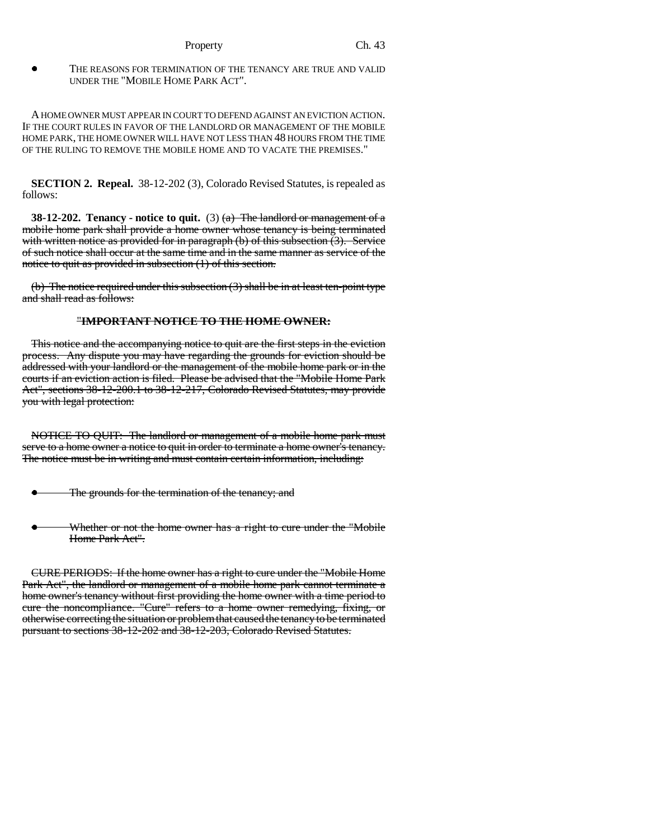$\bullet$  THE REASONS FOR TERMINATION OF THE TENANCY ARE TRUE AND VALID UNDER THE "MOBILE HOME PARK ACT".

A HOME OWNER MUST APPEAR IN COURT TO DEFEND AGAINST AN EVICTION ACTION. IF THE COURT RULES IN FAVOR OF THE LANDLORD OR MANAGEMENT OF THE MOBILE HOME PARK, THE HOME OWNER WILL HAVE NOT LESS THAN 48 HOURS FROM THE TIME OF THE RULING TO REMOVE THE MOBILE HOME AND TO VACATE THE PREMISES."

**SECTION 2. Repeal.** 38-12-202 (3), Colorado Revised Statutes, is repealed as follows:

**38-12-202.** Tenancy - notice to quit. (3)  $(a)$  The landlord or management of a mobile home park shall provide a home owner whose tenancy is being terminated with written notice as provided for in paragraph (b) of this subsection  $(3)$ . Service of such notice shall occur at the same time and in the same manner as service of the notice to quit as provided in subsection (1) of this section.

(b) The notice required under this subsection (3) shall be in at least ten-point type and shall read as follows:

### "**IMPORTANT NOTICE TO THE HOME OWNER:**

This notice and the accompanying notice to quit are the first steps in the eviction process. Any dispute you may have regarding the grounds for eviction should be addressed with your landlord or the management of the mobile home park or in the courts if an eviction action is filed. Please be advised that the "Mobile Home Park Act", sections 38-12-200.1 to 38-12-217, Colorado Revised Statutes, may provide you with legal protection:

NOTICE TO QUIT: The landlord or management of a mobile home park must serve to a home owner a notice to quit in order to terminate a home owner's tenancy. The notice must be in writing and must contain certain information, including:

- $\bullet$ The grounds for the termination of the tenancy; and
- $\bullet$ Whether or not the home owner has a right to cure under the "Mobile" Home Park Act".

CURE PERIODS: If the home owner has a right to cure under the "Mobile Home Park Act", the landlord or management of a mobile home park cannot terminate a home owner's tenancy without first providing the home owner with a time period to cure the noncompliance. "Cure" refers to a home owner remedying, fixing, or otherwise correcting the situation or problem that caused the tenancy to be terminated pursuant to sections 38-12-202 and 38-12-203, Colorado Revised Statutes.